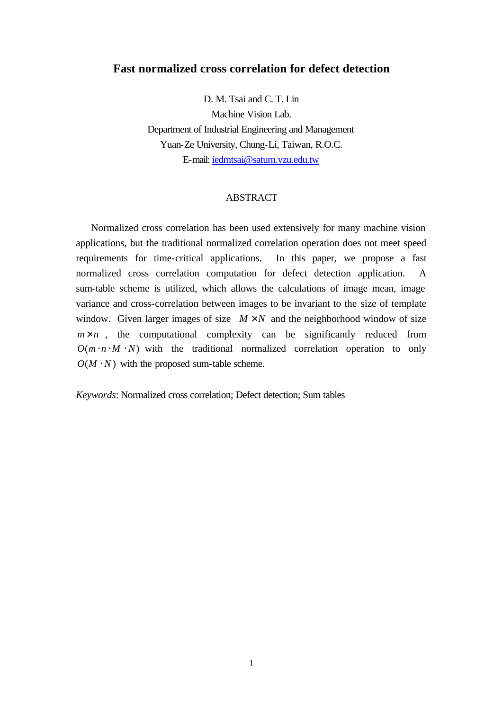# **Fast normalized cross correlation for defect detection**

D. M. Tsai and C. T. Lin Machine Vision Lab. Department of Industrial Engineering and Management Yuan-Ze University, Chung-Li, Taiwan, R.O.C. E-mail: iedmtsai@saturn.yzu.edu.tw

## ABSTRACT

Normalized cross correlation has been used extensively for many machine vision applications, but the traditional normalized correlation operation does not meet speed requirements for time-critical applications. In this paper, we propose a fast normalized cross correlation computation for defect detection application. A sum-table scheme is utilized, which allows the calculations of image mean, image variance and cross-correlation between images to be invariant to the size of template window. Given larger images of size  $M \times N$  and the neighborhood window of size  $m \times n$ , the computational complexity can be significantly reduced from  $O(m \cdot n \cdot M \cdot N)$  with the traditional normalized correlation operation to only  $O(M \cdot N)$  with the proposed sum-table scheme.

*Keywords*: Normalized cross correlation; Defect detection; Sum tables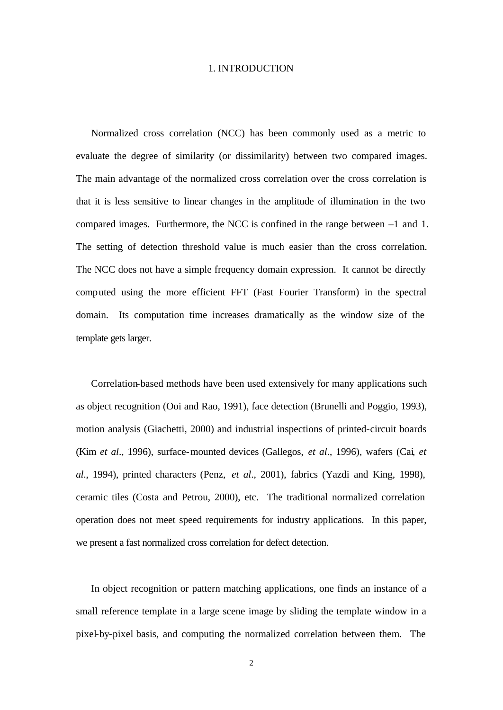### 1. INTRODUCTION

Normalized cross correlation (NCC) has been commonly used as a metric to evaluate the degree of similarity (or dissimilarity) between two compared images. The main advantage of the normalized cross correlation over the cross correlation is that it is less sensitive to linear changes in the amplitude of illumination in the two compared images. Furthermore, the NCC is confined in the range between –1 and 1. The setting of detection threshold value is much easier than the cross correlation. The NCC does not have a simple frequency domain expression. It cannot be directly computed using the more efficient FFT (Fast Fourier Transform) in the spectral domain. Its computation time increases dramatically as the window size of the template gets larger.

Correlation-based methods have been used extensively for many applications such as object recognition (Ooi and Rao, 1991), face detection (Brunelli and Poggio, 1993), motion analysis (Giachetti, 2000) and industrial inspections of printed-circuit boards (Kim *et al*., 1996), surface-mounted devices (Gallegos, *et al*., 1996), wafers (Cai, *et al*., 1994), printed characters (Penz, *et al*., 2001), fabrics (Yazdi and King, 1998), ceramic tiles (Costa and Petrou, 2000), etc. The traditional normalized correlation operation does not meet speed requirements for industry applications. In this paper, we present a fast normalized cross correlation for defect detection.

In object recognition or pattern matching applications, one finds an instance of a small reference template in a large scene image by sliding the template window in a pixel-by-pixel basis, and computing the normalized correlation between them. The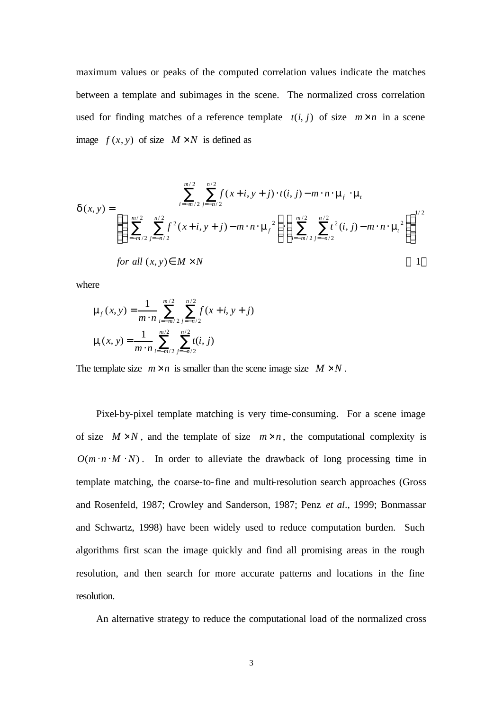maximum values or peaks of the computed correlation values indicate the matches between a template and subimages in the scene. The normalized cross correlation used for finding matches of a reference template  $t(i, j)$  of size  $m \times n$  in a scene image  $f(x, y)$  of size  $M \times N$  is defined as

$$
\boldsymbol{d}(x, y) = \frac{\sum_{i=m/2}^{m/2} \sum_{j=n/2}^{n/2} f(x+i, y+j) \cdot t(i, j) - m \cdot n \cdot \mathbf{m}_f \cdot \mathbf{m}_f}{\left\{ \left( \sum_{i=m/2}^{m/2} \sum_{j=n/2}^{n/2} f^2(x+i, y+j) - m \cdot n \cdot \mathbf{m}_f^2 \right) \cdot \left( \sum_{i=m/2}^{m/2} \sum_{j=n/2}^{n/2} t^2(i, j) - m \cdot n \cdot \mathbf{m}_f^2 \right) \right\}^{1/2}}
$$
\nfor all  $(x, y) \in M \times N$ 

where

$$
\mathbf{m}_f(x, y) = \frac{1}{m \cdot n} \sum_{i=-m/2}^{m/2} \sum_{j=-n/2}^{n/2} f(x + i, y + j)
$$

$$
\mathbf{m}_f(x, y) = \frac{1}{m \cdot n} \sum_{i=-m/2}^{m/2} \sum_{j=-n/2}^{n/2} t(i, j)
$$

The template size  $m \times n$  is smaller than the scene image size  $M \times N$ .

Pixel-by-pixel template matching is very time-consuming. For a scene image of size  $M \times N$ , and the template of size  $m \times n$ , the computational complexity is  $O(m \cdot n \cdot M \cdot N)$ . In order to alleviate the drawback of long processing time in template matching, the coarse-to-fine and multi-resolution search approaches (Gross and Rosenfeld, 1987; Crowley and Sanderson, 1987; Penz *et al*., 1999; Bonmassar and Schwartz, 1998) have been widely used to reduce computation burden. Such algorithms first scan the image quickly and find all promising areas in the rough resolution, and then search for more accurate patterns and locations in the fine resolution.

An alternative strategy to reduce the computational load of the normalized cross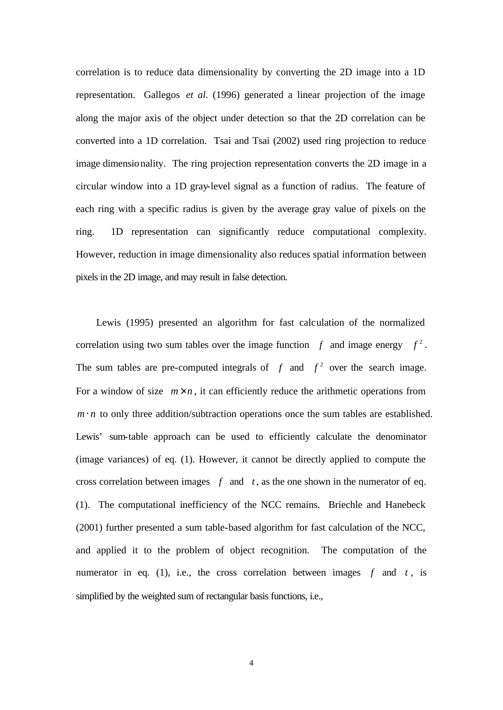correlation is to reduce data dimensionality by converting the 2D image into a 1D representation. Gallegos *et al*. (1996) generated a linear projection of the image along the major axis of the object under detection so that the 2D correlation can be converted into a 1D correlation. Tsai and Tsai (2002) used ring projection to reduce image dimensionality. The ring projection representation converts the 2D image in a circular window into a 1D gray-level signal as a function of radius. The feature of each ring with a specific radius is given by the average gray value of pixels on the ring. 1D representation can significantly reduce computational complexity. However, reduction in image dimensionality also reduces spatial information between pixels in the 2D image, and may result in false detection.

Lewis (1995) presented an algorithm for fast calculation of the normalized correlation using two sum tables over the image function  $f$  and image energy  $f^2$ . The sum tables are pre-computed integrals of  $f$  and  $f^2$  over the search image. For a window of size  $m \times n$ , it can efficiently reduce the arithmetic operations from  $m \cdot n$  to only three addition/subtraction operations once the sum tables are established. Lewis' sum-table approach can be used to efficiently calculate the denominator (image variances) of eq. (1). However, it cannot be directly applied to compute the cross correlation between images  $f$  and  $t$ , as the one shown in the numerator of eq. (1). The computational inefficiency of the NCC remains. Briechle and Hanebeck (2001) further presented a sum table-based algorithm for fast calculation of the NCC, and applied it to the problem of object recognition. The computation of the numerator in eq. (1), i.e., the cross correlation between images  $f$  and  $t$ , is simplified by the weighted sum of rectangular basis functions, i.e.,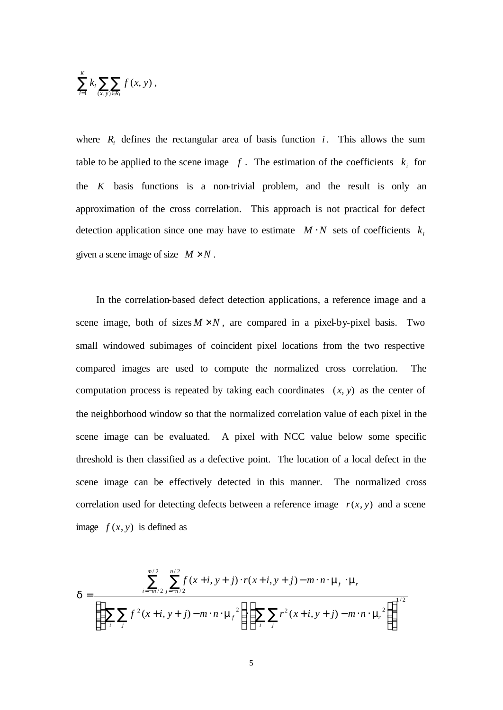$$
\sum_{i=1}^K k_i \sum_{(x,y)\in R_i} f(x, y) ,
$$

where  $R_i$  defines the rectangular area of basis function  $i$ . This allows the sum table to be applied to the scene image  $f$ . The estimation of the coefficients  $k_i$  for the *K* basis functions is a non-trivial problem, and the result is only an approximation of the cross correlation. This approach is not practical for defect detection application since one may have to estimate  $M \cdot N$  sets of coefficients  $k_i$ given a scene image of size  $M \times N$ .

In the correlation-based defect detection applications, a reference image and a scene image, both of sizes  $M \times N$ , are compared in a pixel-by-pixel basis. Two small windowed subimages of coincident pixel locations from the two respective compared images are used to compute the normalized cross correlation. The computation process is repeated by taking each coordinates  $(x, y)$  as the center of the neighborhood window so that the normalized correlation value of each pixel in the scene image can be evaluated. A pixel with NCC value below some specific threshold is then classified as a defective point. The location of a local defect in the scene image can be effectively detected in this manner. The normalized cross correlation used for detecting defects between a reference image  $r(x, y)$  and a scene image  $f(x, y)$  is defined as

$$
\boldsymbol{d} = \frac{\sum_{i=-m/2}^{m/2} \sum_{j=-n/2}^{n/2} f(x+i, y+j) \cdot r(x+i, y+j) - m \cdot n \cdot \mathbf{m}_f \cdot \mathbf{m}_f}{\left\{ \left( \sum_{i} \sum_{j} f^2(x+i, y+j) - m \cdot n \cdot \mathbf{m}_f^2 \right) \cdot \left( \sum_{i} \sum_{j} r^2(x+i, y+j) - m \cdot n \cdot \mathbf{m}_f^2 \right) \right\}^{1/2}}
$$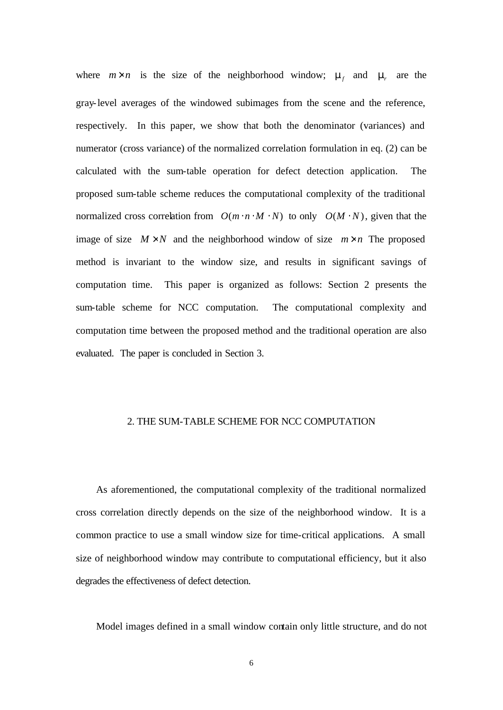where  $m \times n$  is the size of the neighborhood window;  $m_f$  and  $m_f$  are the gray-level averages of the windowed subimages from the scene and the reference, respectively. In this paper, we show that both the denominator (variances) and numerator (cross variance) of the normalized correlation formulation in eq. (2) can be calculated with the sum-table operation for defect detection application. The proposed sum-table scheme reduces the computational complexity of the traditional normalized cross correlation from  $O(m \cdot n \cdot M \cdot N)$  to only  $O(M \cdot N)$ , given that the image of size  $M \times N$  and the neighborhood window of size  $m \times n$  The proposed method is invariant to the window size, and results in significant savings of computation time. This paper is organized as follows: Section 2 presents the sum-table scheme for NCC computation. The computational complexity and computation time between the proposed method and the traditional operation are also evaluated. The paper is concluded in Section 3.

### 2. THE SUM-TABLE SCHEME FOR NCC COMPUTATION

As aforementioned, the computational complexity of the traditional normalized cross correlation directly depends on the size of the neighborhood window. It is a common practice to use a small window size for time-critical applications. A small size of neighborhood window may contribute to computational efficiency, but it also degrades the effectiveness of defect detection.

Model images defined in a small window contain only little structure, and do not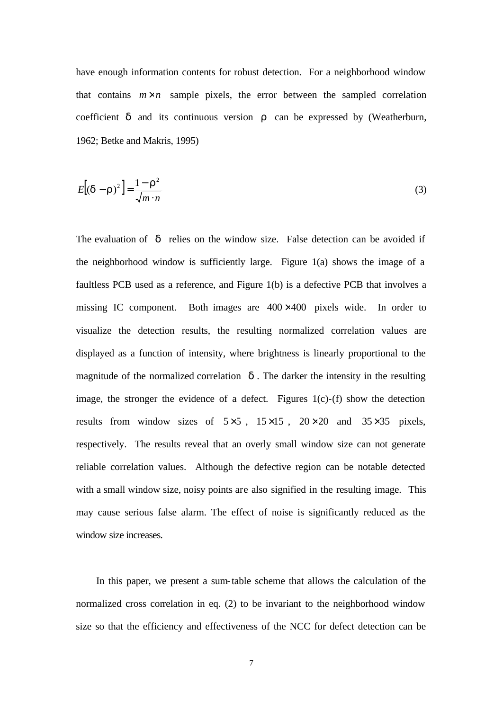have enough information contents for robust detection. For a neighborhood window that contains  $m \times n$  sample pixels, the error between the sampled correlation coefficient *d* and its continuous version *r* can be expressed by (Weatherburn, 1962; Betke and Makris, 1995)

$$
E[(\mathbf{d}-\mathbf{r})^2] = \frac{1-\mathbf{r}^2}{\sqrt{m \cdot n}}
$$
\n(3)

The evaluation of *d* relies on the window size. False detection can be avoided if the neighborhood window is sufficiently large. Figure 1(a) shows the image of a faultless PCB used as a reference, and Figure 1(b) is a defective PCB that involves a missing IC component. Both images are  $400 \times 400$  pixels wide. In order to visualize the detection results, the resulting normalized correlation values are displayed as a function of intensity, where brightness is linearly proportional to the magnitude of the normalized correlation  $\boldsymbol{d}$ . The darker the intensity in the resulting image, the stronger the evidence of a defect. Figures  $1(c)$ - $(f)$  show the detection results from window sizes of  $5\times5$ ,  $15\times15$ ,  $20\times20$  and  $35\times35$  pixels, respectively. The results reveal that an overly small window size can not generate reliable correlation values. Although the defective region can be notable detected with a small window size, noisy points are also signified in the resulting image. This may cause serious false alarm. The effect of noise is significantly reduced as the window size increases.

In this paper, we present a sum-table scheme that allows the calculation of the normalized cross correlation in eq. (2) to be invariant to the neighborhood window size so that the efficiency and effectiveness of the NCC for defect detection can be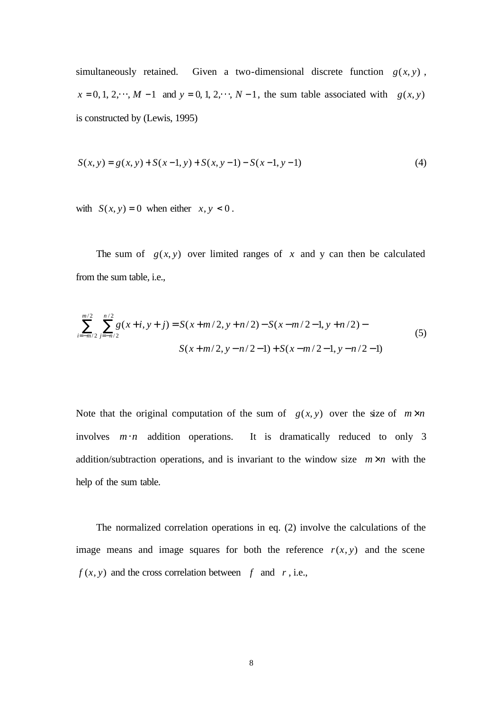simultaneously retained. Given a two-dimensional discrete function  $g(x, y)$ ,  $x = 0, 1, 2, \dots, M - 1$  and  $y = 0, 1, 2, \dots, N - 1$ , the sum table associated with  $g(x, y)$ is constructed by (Lewis, 1995)

$$
S(x, y) = g(x, y) + S(x-1, y) + S(x, y-1) - S(x-1, y-1)
$$
\n(4)

with  $S(x, y) = 0$  when either  $x, y < 0$ .

The sum of  $g(x, y)$  over limited ranges of x and y can then be calculated from the sum table, i.e.,

$$
\sum_{i=-m/2}^{m/2} \sum_{j=-n/2}^{n/2} g(x+i, y+j) = S(x+m/2, y+n/2) - S(x-m/2-1, y+n/2) - S(x+m/2, y-n/2-1) + S(x-m/2-1, y-n/2-1)
$$
\n(5)

Note that the original computation of the sum of  $g(x, y)$  over the size of  $m \times n$ involves *m*⋅*n* addition operations. It is dramatically reduced to only 3 addition/subtraction operations, and is invariant to the window size  $m \times n$  with the help of the sum table.

The normalized correlation operations in eq. (2) involve the calculations of the image means and image squares for both the reference  $r(x, y)$  and the scene  $f(x, y)$  and the cross correlation between  $f$  and  $r$ , i.e.,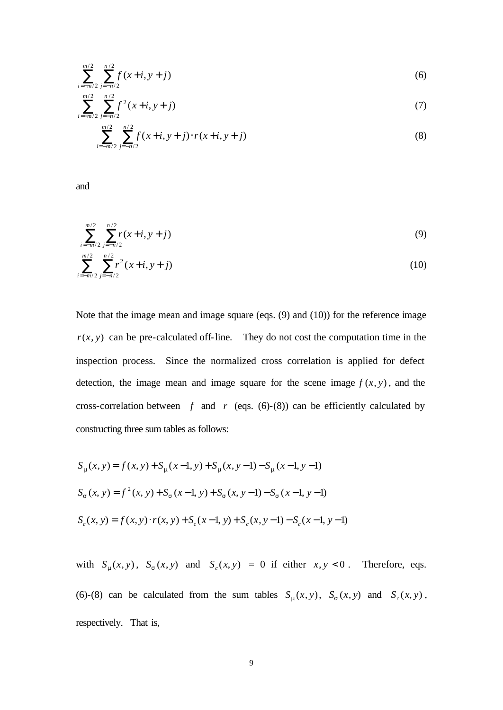$$
\sum_{i=-m/2}^{m/2} \sum_{j=-n/2}^{n/2} f(x+i, y+j)
$$
 (6)

$$
\sum_{i=-m/2}^{m/2} \sum_{j=-n/2}^{n/2} f^2(x+i, y+j)
$$
 (7)

$$
\sum_{i=-m/2}^{m/2} \sum_{j=-n/2}^{n/2} f(x+i, y+j) \cdot r(x+i, y+j)
$$
 (8)

and

 $/2 j=-n/2$ 

*i* = -*m* / 2 *j* = -*n* 

$$
\sum_{i=-m/2}^{m/2} \sum_{j=-n/2}^{n/2} r(x+i, y+j)
$$
(9)  

$$
\sum_{i=-m/2}^{m/2} \sum_{j=-n/2}^{n/2} r^2 (x+i, y+j)
$$
(10)

Note that the image mean and image square (eqs. (9) and (10)) for the reference image  $r(x, y)$  can be pre-calculated off-line. They do not cost the computation time in the inspection process. Since the normalized cross correlation is applied for defect detection, the image mean and image square for the scene image  $f(x, y)$ , and the cross-correlation between  $f$  and  $r$  (eqs. (6)-(8)) can be efficiently calculated by constructing three sum tables as follows:

$$
S_m(x, y) = f(x, y) + S_m(x - 1, y) + S_m(x, y - 1) - S_m(x - 1, y - 1)
$$
  
\n
$$
S_s(x, y) = f^2(x, y) + S_s(x - 1, y) + S_s(x, y - 1) - S_s(x - 1, y - 1)
$$
  
\n
$$
S_c(x, y) = f(x, y) \cdot r(x, y) + S_c(x - 1, y) + S_c(x, y - 1) - S_c(x - 1, y - 1)
$$

with  $S_m(x, y)$ ,  $S_s(x, y)$  and  $S_c(x, y) = 0$  if either  $x, y < 0$ . Therefore, eqs. (6)-(8) can be calculated from the sum tables  $S_m(x, y)$ ,  $S_s(x, y)$  and  $S_c(x, y)$ , respectively. That is,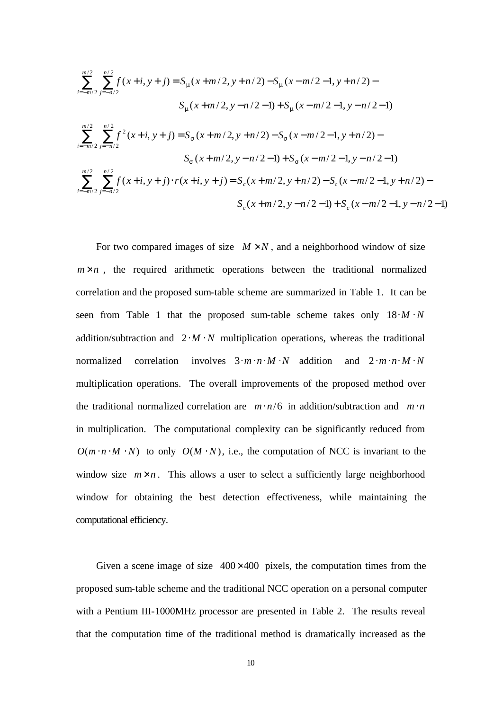$$
\sum_{i=-m/2}^{m/2} \sum_{j=-n/2}^{n/2} f(x+i, y+j) = S_m(x+m/2, y+n/2) - S_m(x-m/2-1, y+n/2) -
$$
  
\n
$$
S_m(x+m/2, y-n/2-1) + S_m(x-m/2-1, y-n/2-1)
$$
  
\n
$$
\sum_{i=-m/2}^{m/2} \sum_{j=-n/2}^{n/2} f^2(x+i, y+j) = S_s(x+m/2, y+n/2) - S_s(x-m/2-1, y+n/2) -
$$
  
\n
$$
S_s(x+m/2, y-n/2-1) + S_s(x-m/2-1, y-n/2-1)
$$
  
\n
$$
\sum_{i=-m/2}^{m/2} \sum_{j=-n/2}^{n/2} f(x+i, y+j) \cdot r(x+i, y+j) = S_c(x+m/2, y+n/2) - S_c(x-m/2-1, y+n/2) -
$$
  
\n
$$
S_c(x+m/2, y-n/2-1) + S_c(x-m/2-1, y-n/2-1)
$$

For two compared images of size  $M \times N$ , and a neighborhood window of size  $m \times n$ , the required arithmetic operations between the traditional normalized correlation and the proposed sum-table scheme are summarized in Table 1. It can be seen from Table 1 that the proposed sum-table scheme takes only  $18 \cdot M \cdot N$ addition/subtraction and  $2 \cdot M \cdot N$  multiplication operations, whereas the traditional normalized correlation involves 3⋅*m*⋅*n*⋅*M* ⋅*N* addition and 2⋅*m*⋅*n*⋅ *M* ⋅ *N* multiplication operations. The overall improvements of the proposed method over the traditional normalized correlation are  $m \cdot n/6$  in addition/subtraction and  $m \cdot n$ in multiplication. The computational complexity can be significantly reduced from  $O(m \cdot n \cdot M \cdot N)$  to only  $O(M \cdot N)$ , i.e., the computation of NCC is invariant to the window size  $m \times n$ . This allows a user to select a sufficiently large neighborhood window for obtaining the best detection effectiveness, while maintaining the computational efficiency.

Given a scene image of size  $400\times400$  pixels, the computation times from the proposed sum-table scheme and the traditional NCC operation on a personal computer with a Pentium III-1000MHz processor are presented in Table 2. The results reveal that the computation time of the traditional method is dramatically increased as the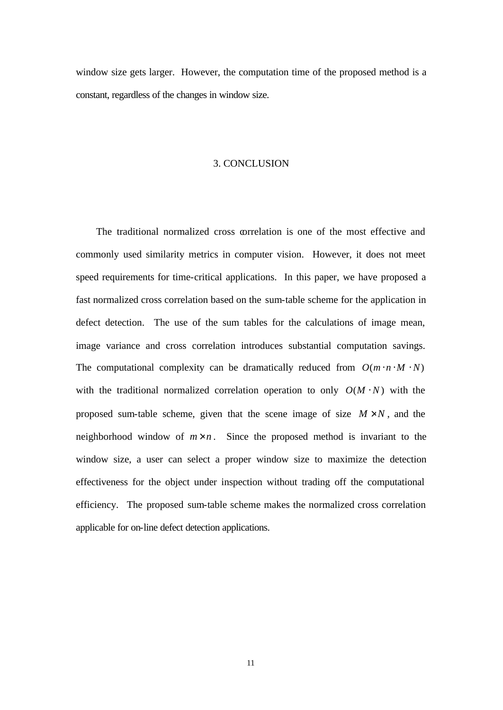window size gets larger. However, the computation time of the proposed method is a constant, regardless of the changes in window size.

### 3. CONCLUSION

The traditional normalized cross correlation is one of the most effective and commonly used similarity metrics in computer vision. However, it does not meet speed requirements for time-critical applications. In this paper, we have proposed a fast normalized cross correlation based on the sum-table scheme for the application in defect detection. The use of the sum tables for the calculations of image mean, image variance and cross correlation introduces substantial computation savings. The computational complexity can be dramatically reduced from  $O(m \cdot n \cdot M \cdot N)$ with the traditional normalized correlation operation to only  $O(M \cdot N)$  with the proposed sum-table scheme, given that the scene image of size  $M \times N$ , and the neighborhood window of  $m \times n$ . Since the proposed method is invariant to the window size, a user can select a proper window size to maximize the detection effectiveness for the object under inspection without trading off the computational efficiency. The proposed sum-table scheme makes the normalized cross correlation applicable for on-line defect detection applications.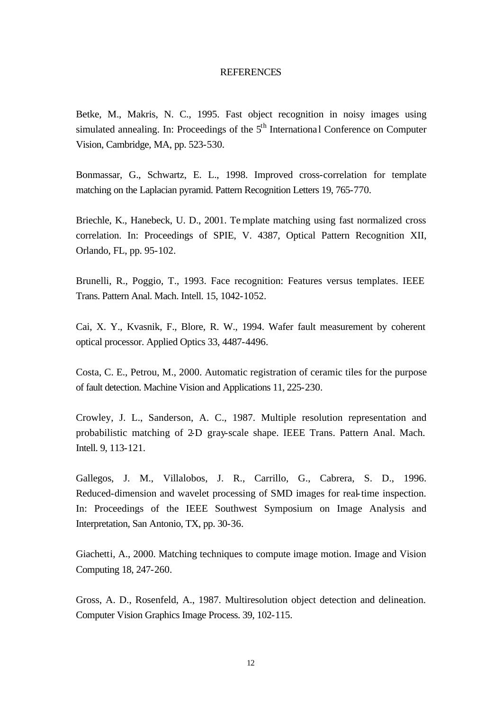#### **REFERENCES**

Betke, M., Makris, N. C., 1995. Fast object recognition in noisy images using simulated annealing. In: Proceedings of the  $5<sup>th</sup>$  International Conference on Computer Vision, Cambridge, MA, pp. 523-530.

Bonmassar, G., Schwartz, E. L., 1998. Improved cross-correlation for template matching on the Laplacian pyramid. Pattern Recognition Letters 19, 765-770.

Briechle, K., Hanebeck, U. D., 2001. Te mplate matching using fast normalized cross correlation. In: Proceedings of SPIE, V. 4387, Optical Pattern Recognition XII, Orlando, FL, pp. 95-102.

Brunelli, R., Poggio, T., 1993. Face recognition: Features versus templates. IEEE Trans. Pattern Anal. Mach. Intell. 15, 1042-1052.

Cai, X. Y., Kvasnik, F., Blore, R. W., 1994. Wafer fault measurement by coherent optical processor. Applied Optics 33, 4487-4496.

Costa, C. E., Petrou, M., 2000. Automatic registration of ceramic tiles for the purpose of fault detection. Machine Vision and Applications 11, 225-230.

Crowley, J. L., Sanderson, A. C., 1987. Multiple resolution representation and probabilistic matching of 2-D gray-scale shape. IEEE Trans. Pattern Anal. Mach. Intell. 9, 113-121.

Gallegos, J. M., Villalobos, J. R., Carrillo, G., Cabrera, S. D., 1996. Reduced-dimension and wavelet processing of SMD images for real-time inspection. In: Proceedings of the IEEE Southwest Symposium on Image Analysis and Interpretation, San Antonio, TX, pp. 30-36.

Giachetti, A., 2000. Matching techniques to compute image motion. Image and Vision Computing 18, 247-260.

Gross, A. D., Rosenfeld, A., 1987. Multiresolution object detection and delineation. Computer Vision Graphics Image Process. 39, 102-115.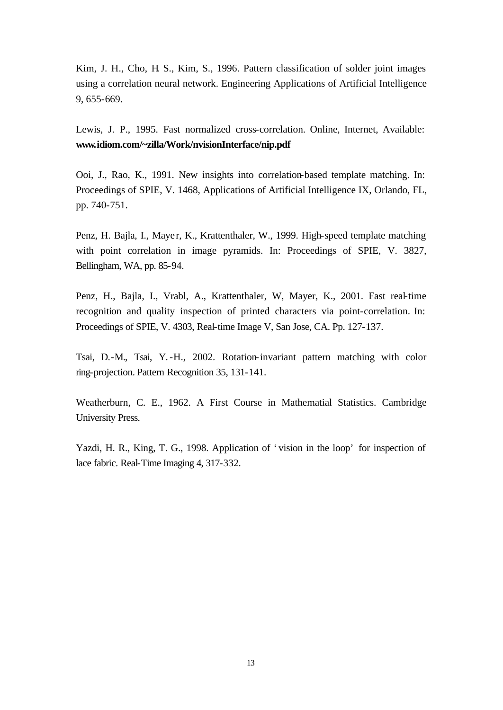Kim, J. H., Cho, H. S., Kim, S., 1996. Pattern classification of solder joint images using a correlation neural network. Engineering Applications of Artificial Intelligence 9, 655-669.

Lewis, J. P., 1995. Fast normalized cross-correlation. Online, Internet, Available: **www.idiom.com/~zilla/Work/nvisionInterface/nip.pdf**

Ooi, J., Rao, K., 1991. New insights into correlation-based template matching. In: Proceedings of SPIE, V. 1468, Applications of Artificial Intelligence IX, Orlando, FL, pp. 740-751.

Penz, H. Bajla, I., Mayer, K., Krattenthaler, W., 1999. High-speed template matching with point correlation in image pyramids. In: Proceedings of SPIE, V. 3827, Bellingham, WA, pp. 85-94.

Penz, H., Bajla, I., Vrabl, A., Krattenthaler, W, Mayer, K., 2001. Fast real-time recognition and quality inspection of printed characters via point-correlation. In: Proceedings of SPIE, V. 4303, Real-time Image V, San Jose, CA. Pp. 127-137.

Tsai, D.-M., Tsai, Y.-H., 2002. Rotation-invariant pattern matching with color ring-projection. Pattern Recognition 35, 131-141.

Weatherburn, C. E., 1962. A First Course in Mathematial Statistics. Cambridge University Press.

Yazdi, H. R., King, T. G., 1998. Application of 'vision in the loop' for inspection of lace fabric. Real-Time Imaging 4, 317-332.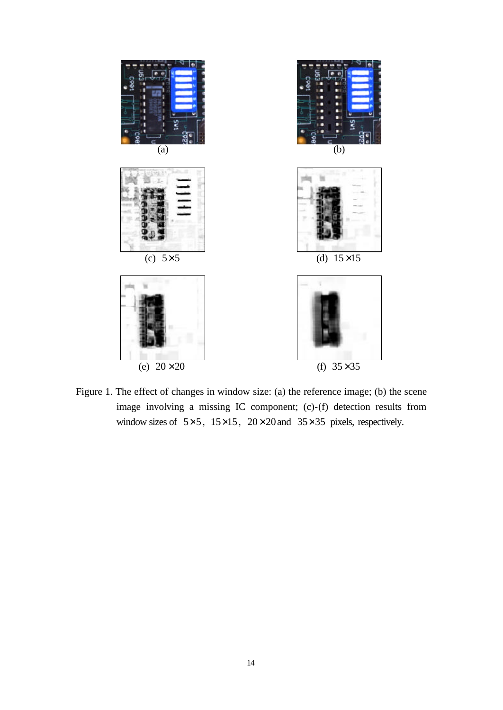

Figure 1. The effect of changes in window size: (a) the reference image; (b) the scene image involving a missing IC component; (c)-(f) detection results from window sizes of  $5 \times 5$ ,  $15 \times 15$ ,  $20 \times 20$  and  $35 \times 35$  pixels, respectively.